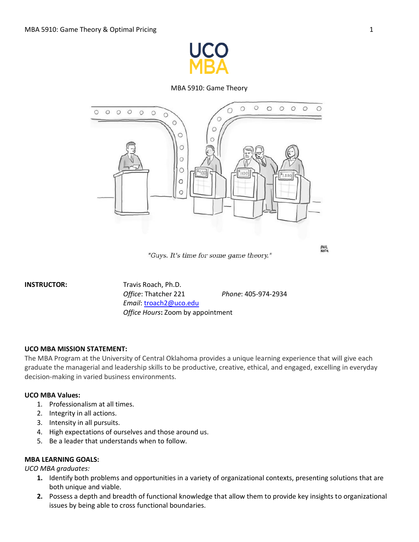

MBA 5910: Game Theory



"Guys. It's time for some game theory."

**INSTRUCTOR:** Travis Roach, Ph.D. *Office*: Thatcher 221 *Phone*: 405-974-2934 *Email*[: troach2@uco.edu](mailto:troach2@uco.edu) *Office Hours***:** Zoom by appointment

#### **UCO MBA MISSION STATEMENT:**

The MBA Program at the University of Central Oklahoma provides a unique learning experience that will give each graduate the managerial and leadership skills to be productive, creative, ethical, and engaged, excelling in everyday decision-making in varied business environments.

#### **UCO MBA Values:**

- 1. Professionalism at all times.
- 2. Integrity in all actions.
- 3. Intensity in all pursuits.
- 4. High expectations of ourselves and those around us.
- 5. Be a leader that understands when to follow.

## **MBA LEARNING GOALS:**

*UCO MBA graduates:*

- **1.** Identify both problems and opportunities in a variety of organizational contexts, presenting solutions that are both unique and viable.
- **2.** Possess a depth and breadth of functional knowledge that allow them to provide key insights to organizational issues by being able to cross functional boundaries.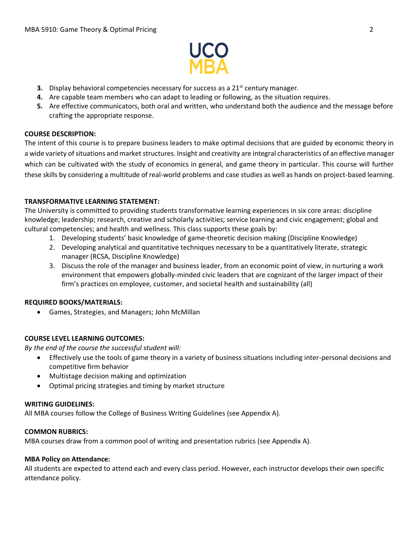

- **3.** Display behavioral competencies necessary for success as a 21<sup>st</sup> century manager.
- **4.** Are capable team members who can adapt to leading or following, as the situation requires.
- **5.** Are effective communicators, both oral and written, who understand both the audience and the message before crafting the appropriate response.

### **COURSE DESCRIPTION:**

The intent of this course is to prepare business leaders to make optimal decisions that are guided by economic theory in a wide variety of situations and market structures. Insight and creativity are integral characteristics of an effective manager which can be cultivated with the study of economics in general, and game theory in particular. This course will further these skills by considering a multitude of real-world problems and case studies as well as hands on project-based learning.

## **TRANSFORMATIVE LEARNING STATEMENT:**

The University is committed to providing students transformative learning experiences in six core areas: discipline knowledge; leadership; research, creative and scholarly activities; service learning and civic engagement; global and cultural competencies; and health and wellness. This class supports these goals by:

- 1. Developing students' basic knowledge of game-theoretic decision making (Discipline Knowledge)
- 2. Developing analytical and quantitative techniques necessary to be a quantitatively literate, strategic manager (RCSA, Discipline Knowledge)
- 3. Discuss the role of the manager and business leader, from an economic point of view, in nurturing a work environment that empowers globally-minded civic leaders that are cognizant of the larger impact of their firm's practices on employee, customer, and societal health and sustainability (all)

#### **REQUIRED BOOKS/MATERIALS:**

• Games, Strategies, and Managers; John McMillan

## **COURSE LEVEL LEARNING OUTCOMES:**

*By the end of the course the successful student will:*

- Effectively use the tools of game theory in a variety of business situations including inter-personal decisions and competitive firm behavior
- Multistage decision making and optimization
- Optimal pricing strategies and timing by market structure

#### **WRITING GUIDELINES:**

All MBA courses follow the College of Business Writing Guidelines (see Appendix A).

#### **COMMON RUBRICS:**

MBA courses draw from a common pool of writing and presentation rubrics (see Appendix A).

#### **MBA Policy on Attendance:**

All students are expected to attend each and every class period. However, each instructor develops their own specific attendance policy.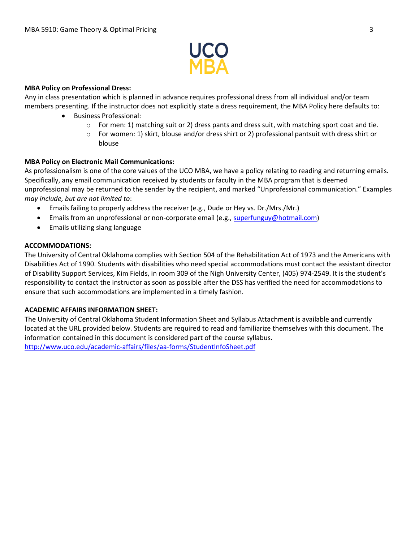

### **MBA Policy on Professional Dress:**

Any in class presentation which is planned in advance requires professional dress from all individual and/or team members presenting. If the instructor does not explicitly state a dress requirement, the MBA Policy here defaults to:

- Business Professional:
	- $\circ$  For men: 1) matching suit or 2) dress pants and dress suit, with matching sport coat and tie.
	- $\circ$  For women: 1) skirt, blouse and/or dress shirt or 2) professional pantsuit with dress shirt or blouse

## **MBA Policy on Electronic Mail Communications:**

As professionalism is one of the core values of the UCO MBA, we have a policy relating to reading and returning emails. Specifically, any email communication received by students or faculty in the MBA program that is deemed unprofessional may be returned to the sender by the recipient, and marked "Unprofessional communication." Examples *may include, but are not limited to*:

- Emails failing to properly address the receiver (e.g., Dude or Hey vs. Dr./Mrs./Mr.)
- Emails from an unprofessional or non-corporate email (e.g., [superfunguy@hotmail.com\)](mailto:superfunguy@hotmail.com)
- Emails utilizing slang language

## **ACCOMMODATIONS:**

The University of Central Oklahoma complies with Section 504 of the Rehabilitation Act of 1973 and the Americans with Disabilities Act of 1990. Students with disabilities who need special accommodations must contact the assistant director of Disability Support Services, Kim Fields, in room 309 of the Nigh University Center, (405) 974-2549. It is the student's responsibility to contact the instructor as soon as possible after the DSS has verified the need for accommodations to ensure that such accommodations are implemented in a timely fashion.

#### **ACADEMIC AFFAIRS INFORMATION SHEET:**

The University of Central Oklahoma Student Information Sheet and Syllabus Attachment is available and currently located at the URL provided below. Students are required to read and familiarize themselves with this document. The information contained in this document is considered part of the course syllabus. <http://www.uco.edu/academic-affairs/files/aa-forms/StudentInfoSheet.pdf>